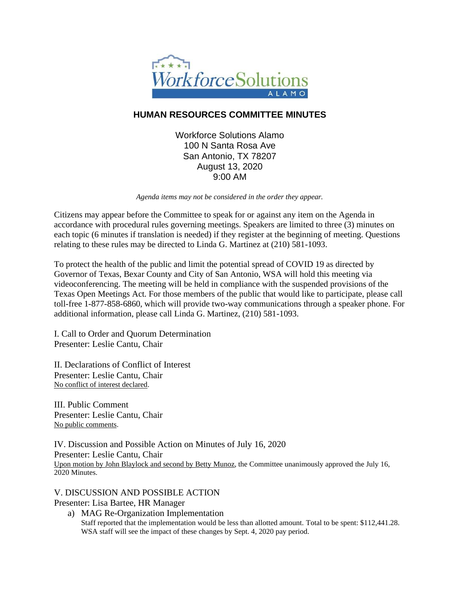

# **HUMAN RESOURCES COMMITTEE MINUTES**

Workforce Solutions Alamo 100 N Santa Rosa Ave San Antonio, TX 78207 August 13, 2020 9:00 AM

*Agenda items may not be considered in the order they appear.*

Citizens may appear before the Committee to speak for or against any item on the Agenda in accordance with procedural rules governing meetings. Speakers are limited to three (3) minutes on each topic (6 minutes if translation is needed) if they register at the beginning of meeting. Questions relating to these rules may be directed to Linda G. Martinez at (210) 581-1093.

To protect the health of the public and limit the potential spread of COVID 19 as directed by Governor of Texas, Bexar County and City of San Antonio, WSA will hold this meeting via videoconferencing. The meeting will be held in compliance with the suspended provisions of the Texas Open Meetings Act. For those members of the public that would like to participate, please call toll-free 1-877-858-6860, which will provide two-way communications through a speaker phone. For additional information, please call Linda G. Martinez, (210) 581-1093.

I. Call to Order and Quorum Determination Presenter: Leslie Cantu, Chair

II. Declarations of Conflict of Interest Presenter: Leslie Cantu, Chair No conflict of interest declared.

III. Public Comment Presenter: Leslie Cantu, Chair No public comments.

IV. Discussion and Possible Action on Minutes of July 16, 2020 Presenter: Leslie Cantu, Chair Upon motion by John Blaylock and second by Betty Munoz, the Committee unanimously approved the July 16, 2020 Minutes.

V. DISCUSSION AND POSSIBLE ACTION Presenter: Lisa Bartee, HR Manager

a) MAG Re-Organization Implementation Staff reported that the implementation would be less than allotted amount. Total to be spent: \$112,441.28. WSA staff will see the impact of these changes by Sept. 4, 2020 pay period.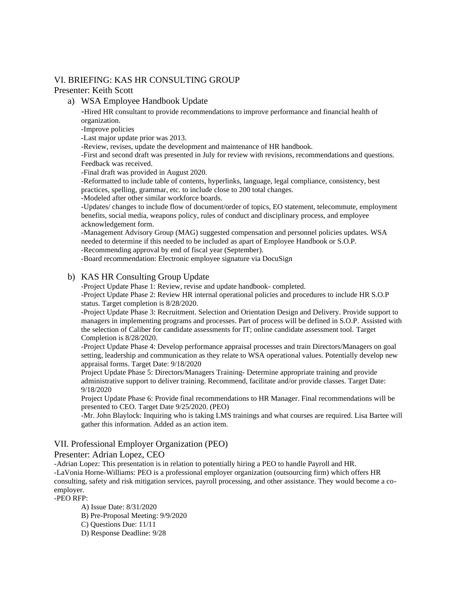# VI. BRIEFING: KAS HR CONSULTING GROUP

# Presenter: Keith Scott

#### a) WSA Employee Handbook Update

-Hired HR consultant to provide recommendations to improve performance and financial health of organization.

-Improve policies

-Last major update prior was 2013.

-Review, revises, update the development and maintenance of HR handbook.

-First and second draft was presented in July for review with revisions, recommendations and questions. Feedback was received.

-Final draft was provided in August 2020.

-Reformatted to include table of contents, hyperlinks, language, legal compliance, consistency, best practices, spelling, grammar, etc. to include close to 200 total changes.

-Modeled after other similar workforce boards.

-Updates/ changes to include flow of document/order of topics, EO statement, telecommute, employment benefits, social media, weapons policy, rules of conduct and disciplinary process, and employee acknowledgement form.

-Management Advisory Group (MAG) suggested compensation and personnel policies updates. WSA needed to determine if this needed to be included as apart of Employee Handbook or S.O.P.

-Recommending approval by end of fiscal year (September).

-Board recommendation: Electronic employee signature via DocuSign

# b) KAS HR Consulting Group Update

-Project Update Phase 1: Review, revise and update handbook- completed.

-Project Update Phase 2: Review HR internal operational policies and procedures to include HR S.O.P status. Target completion is 8/28/2020.

-Project Update Phase 3: Recruitment. Selection and Orientation Design and Delivery. Provide support to managers in implementing programs and processes. Part of process will be defined in S.O.P. Assisted with the selection of Caliber for candidate assessments for IT; online candidate assessment tool. Target Completion is 8/28/2020.

-Project Update Phase 4: Develop performance appraisal processes and train Directors/Managers on goal setting, leadership and communication as they relate to WSA operational values. Potentially develop new appraisal forms. Target Date: 9/18/2020

Project Update Phase 5: Directors/Managers Training- Determine appropriate training and provide administrative support to deliver training. Recommend, facilitate and/or provide classes. Target Date: 9/18/2020

Project Update Phase 6: Provide final recommendations to HR Manager. Final recommendations will be presented to CEO. Target Date 9/25/2020. (PEO)

-Mr. John Blaylock: Inquiring who is taking LMS trainings and what courses are required. Lisa Bartee will gather this information. Added as an action item.

# VII. Professional Employer Organization (PEO)

# Presenter: Adrian Lopez, CEO

-Adrian Lopez: This presentation is in relation to potentially hiring a PEO to handle Payroll and HR. -LaVonia Horne-Williams: PEO is a professional employer organization (outsourcing firm) which offers HR consulting, safety and risk mitigation services, payroll processing, and other assistance. They would become a coemployer.

-PEO RFP:

A) Issue Date: 8/31/2020 B) Pre-Proposal Meeting: 9/9/2020 C) Questions Due: 11/11 D) Response Deadline: 9/28